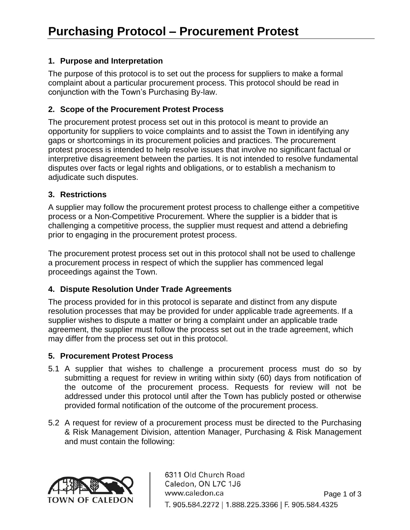## **1. Purpose and Interpretation**

The purpose of this protocol is to set out the process for suppliers to make a formal complaint about a particular procurement process. This protocol should be read in conjunction with the Town's Purchasing By-law.

### **2. Scope of the Procurement Protest Process**

The procurement protest process set out in this protocol is meant to provide an opportunity for suppliers to voice complaints and to assist the Town in identifying any gaps or shortcomings in its procurement policies and practices. The procurement protest process is intended to help resolve issues that involve no significant factual or interpretive disagreement between the parties. It is not intended to resolve fundamental disputes over facts or legal rights and obligations, or to establish a mechanism to adjudicate such disputes.

#### **3. Restrictions**

A supplier may follow the procurement protest process to challenge either a competitive process or a Non-Competitive Procurement. Where the supplier is a bidder that is challenging a competitive process, the supplier must request and attend a debriefing prior to engaging in the procurement protest process.

The procurement protest process set out in this protocol shall not be used to challenge a procurement process in respect of which the supplier has commenced legal proceedings against the Town.

# **4. Dispute Resolution Under Trade Agreements**

The process provided for in this protocol is separate and distinct from any dispute resolution processes that may be provided for under applicable trade agreements. If a supplier wishes to dispute a matter or bring a complaint under an applicable trade agreement, the supplier must follow the process set out in the trade agreement, which may differ from the process set out in this protocol.

#### **5. Procurement Protest Process**

- 5.1 A supplier that wishes to challenge a procurement process must do so by submitting a request for review in writing within sixty (60) days from notification of the outcome of the procurement process. Requests for review will not be addressed under this protocol until after the Town has publicly posted or otherwise provided formal notification of the outcome of the procurement process.
- 5.2 A request for review of a procurement process must be directed to the Purchasing & Risk Management Division, attention Manager, Purchasing & Risk Management and must contain the following:

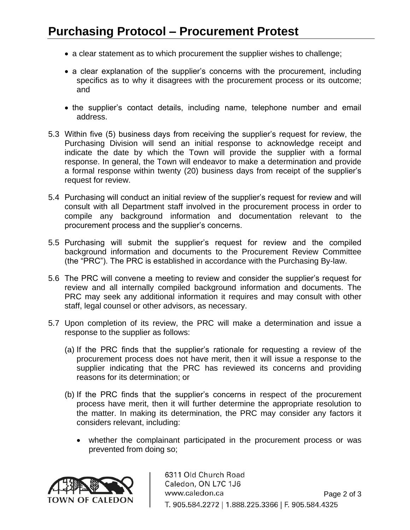- a clear statement as to which procurement the supplier wishes to challenge;
- a clear explanation of the supplier's concerns with the procurement, including specifics as to why it disagrees with the procurement process or its outcome; and
- the supplier's contact details, including name, telephone number and email address.
- 5.3 Within five (5) business days from receiving the supplier's request for review, the Purchasing Division will send an initial response to acknowledge receipt and indicate the date by which the Town will provide the supplier with a formal response. In general, the Town will endeavor to make a determination and provide a formal response within twenty (20) business days from receipt of the supplier's request for review.
- 5.4 Purchasing will conduct an initial review of the supplier's request for review and will consult with all Department staff involved in the procurement process in order to compile any background information and documentation relevant to the procurement process and the supplier's concerns.
- 5.5 Purchasing will submit the supplier's request for review and the compiled background information and documents to the Procurement Review Committee (the "PRC"). The PRC is established in accordance with the Purchasing By-law.
- 5.6 The PRC will convene a meeting to review and consider the supplier's request for review and all internally compiled background information and documents. The PRC may seek any additional information it requires and may consult with other staff, legal counsel or other advisors, as necessary.
- 5.7 Upon completion of its review, the PRC will make a determination and issue a response to the supplier as follows:
	- (a) If the PRC finds that the supplier's rationale for requesting a review of the procurement process does not have merit, then it will issue a response to the supplier indicating that the PRC has reviewed its concerns and providing reasons for its determination; or
	- (b) If the PRC finds that the supplier's concerns in respect of the procurement process have merit, then it will further determine the appropriate resolution to the matter. In making its determination, the PRC may consider any factors it considers relevant, including:
		- whether the complainant participated in the procurement process or was prevented from doing so;